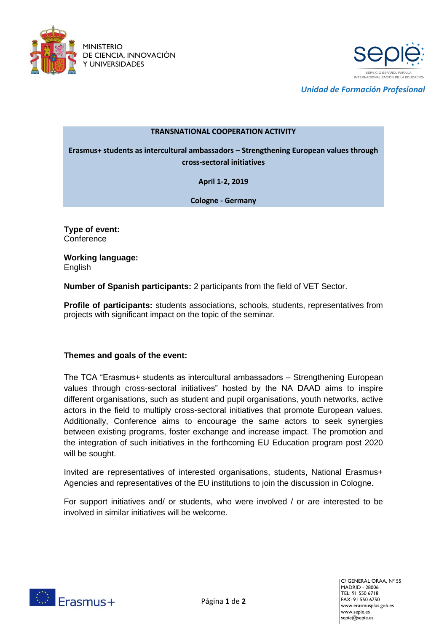



*Unidad de Formación Profesional*

## **TRANSNATIONAL COOPERATION ACTIVITY**

**Erasmus+ students as intercultural ambassadors – Strengthening European values through cross-sectoral initiatives**

**April 1-2, 2019**

**Cologne - Germany**

**Type of event: Conference** 

**Working language:**  English

**Number of Spanish participants:** 2 participants from the field of VET Sector.

**Profile of participants:** students associations, schools, students, representatives from projects with significant impact on the topic of the seminar.

## **Themes and goals of the event:**

The TCA "Erasmus+ students as intercultural ambassadors – Strengthening European values through cross-sectoral initiatives" hosted by the NA DAAD aims to inspire different organisations, such as student and pupil organisations, youth networks, active actors in the field to multiply cross-sectoral initiatives that promote European values. Additionally, Conference aims to encourage the same actors to seek synergies between existing programs, foster exchange and increase impact. The promotion and the integration of such initiatives in the forthcoming EU Education program post 2020 will be sought.

Invited are representatives of interested organisations, students, National Erasmus+ Agencies and representatives of the EU institutions to join the discussion in Cologne.

For support initiatives and/ or students, who were involved / or are interested to be involved in similar initiatives will be welcome.